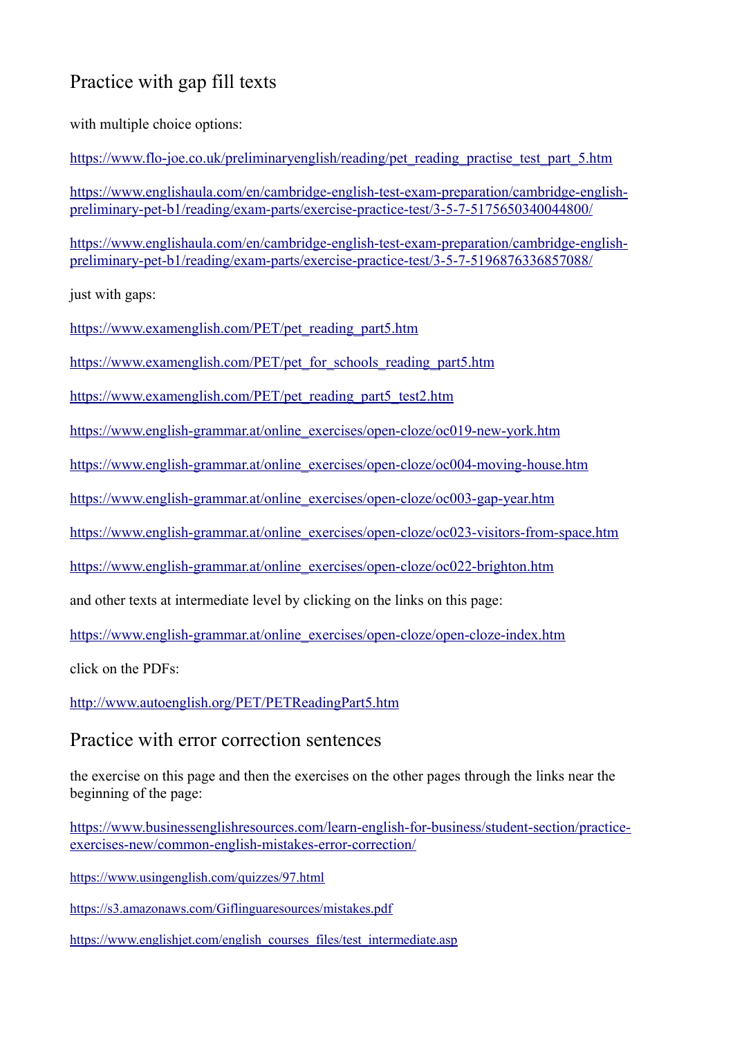# Practice with gap fill texts

with multiple choice options:

[https://www.flo-joe.co.uk/preliminaryenglish/reading/pet\\_reading\\_practise\\_test\\_part\\_5.htm](https://www.flo-joe.co.uk/preliminaryenglish/reading/pet_reading_practise_test_part_5.htm)

[https://www.englishaula.com/en/cambridge-english-test-exam-preparation/cambridge-english](https://www.englishaula.com/en/cambridge-english-test-exam-preparation/cambridge-english-preliminary-pet-b1/reading/exam-parts/exercise-practice-test/3-5-7-5175650340044800/)[preliminary-pet-b1/reading/exam-parts/exercise-practice-test/3-5-7-5175650340044800/](https://www.englishaula.com/en/cambridge-english-test-exam-preparation/cambridge-english-preliminary-pet-b1/reading/exam-parts/exercise-practice-test/3-5-7-5175650340044800/)

[https://www.englishaula.com/en/cambridge-english-test-exam-preparation/cambridge-english](https://www.englishaula.com/en/cambridge-english-test-exam-preparation/cambridge-english-preliminary-pet-b1/reading/exam-parts/exercise-practice-test/3-5-7-5196876336857088/)[preliminary-pet-b1/reading/exam-parts/exercise-practice-test/3-5-7-5196876336857088/](https://www.englishaula.com/en/cambridge-english-test-exam-preparation/cambridge-english-preliminary-pet-b1/reading/exam-parts/exercise-practice-test/3-5-7-5196876336857088/)

just with gaps:

[https://www.examenglish.com/PET/pet\\_reading\\_part5.htm](https://www.examenglish.com/PET/pet_reading_part5.htm)

[https://www.examenglish.com/PET/pet\\_for\\_schools\\_reading\\_part5.htm](https://www.examenglish.com/PET/pet_for_schools_reading_part5.htm)

[https://www.examenglish.com/PET/pet\\_reading\\_part5\\_test2.htm](https://www.examenglish.com/PET/pet_reading_part5_test2.htm)

[https://www.english-grammar.at/online\\_exercises/open-cloze/oc019-new-york.htm](https://www.english-grammar.at/online_exercises/open-cloze/oc019-new-york.htm)

[https://www.english-grammar.at/online\\_exercises/open-cloze/oc004-moving-house.htm](https://www.english-grammar.at/online_exercises/open-cloze/oc004-moving-house.htm)

[https://www.english-grammar.at/online\\_exercises/open-cloze/oc003-gap-year.htm](https://www.english-grammar.at/online_exercises/open-cloze/oc003-gap-year.htm)

[https://www.english-grammar.at/online\\_exercises/open-cloze/oc023-visitors-from-space.htm](https://www.english-grammar.at/online_exercises/open-cloze/oc023-visitors-from-space.htm)

[https://www.english-grammar.at/online\\_exercises/open-cloze/oc022-brighton.htm](https://www.english-grammar.at/online_exercises/open-cloze/oc022-brighton.htm) 

and other texts at intermediate level by clicking on the links on this page:

[https://www.english-grammar.at/online\\_exercises/open-cloze/open-cloze-index.htm](https://www.english-grammar.at/online_exercises/open-cloze/open-cloze-index.htm)

click on the PDFs:

<http://www.autoenglish.org/PET/PETReadingPart5.htm>

# Practice with error correction sentences

the exercise on this page and then the exercises on the other pages through the links near the beginning of the page:

[https://www.businessenglishresources.com/learn-english-for-business/student-section/practice](https://www.businessenglishresources.com/learn-english-for-business/student-section/practice-exercises-new/common-english-mistakes-error-correction/)[exercises-new/common-english-mistakes-error-correction/](https://www.businessenglishresources.com/learn-english-for-business/student-section/practice-exercises-new/common-english-mistakes-error-correction/)

<https://www.usingenglish.com/quizzes/97.html>

<https://s3.amazonaws.com/Giflinguaresources/mistakes.pdf>

[https://www.englishjet.com/english\\_courses\\_files/test\\_intermediate.asp](https://www.englishjet.com/english_courses_files/test_intermediate.asp)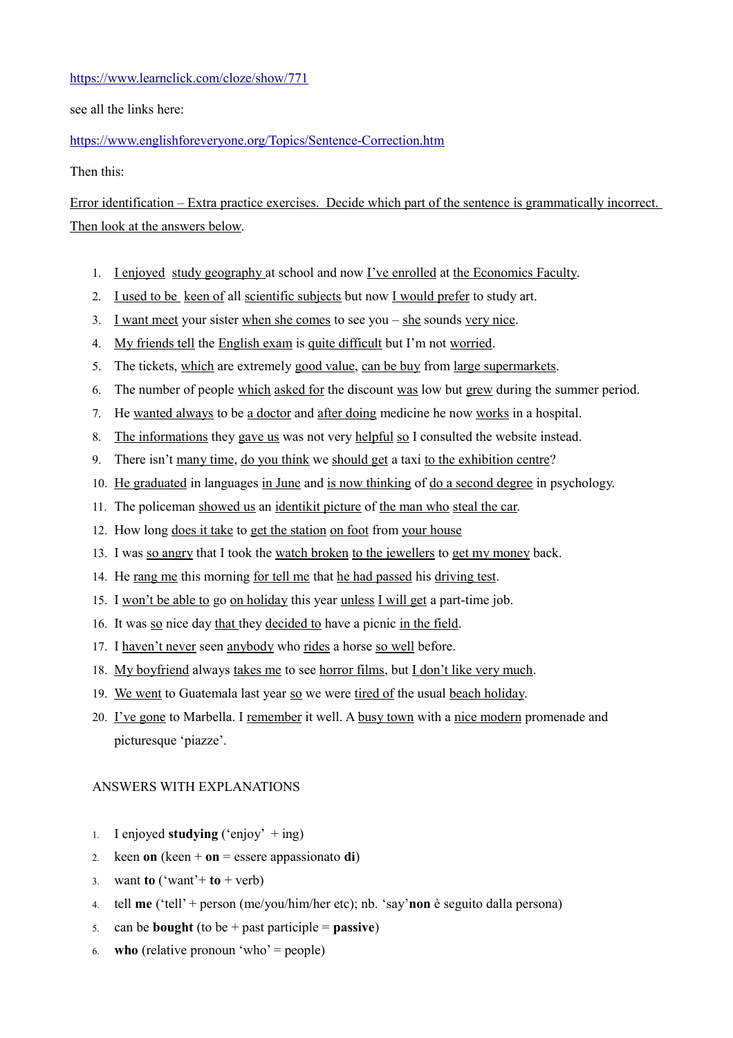#### <https://www.learnclick.com/cloze/show/771>

see all the links here:

## <https://www.englishforeveryone.org/Topics/Sentence-Correction.htm>

Then this:

Error identification – Extra practice exercises. Decide which part of the sentence is grammatically incorrect. Then look at the answers below.

- 1. I enjoyed study geography at school and now I've enrolled at the Economics Faculty.
- 2. I used to be keen of all scientific subjects but now I would prefer to study art.
- 3. I want meet your sister when she comes to see you she sounds very nice.
- 4. My friends tell the English exam is quite difficult but I'm not worried.
- 5. The tickets, which are extremely good value, can be buy from large supermarkets.
- 6. The number of people which asked for the discount was low but grew during the summer period.
- 7. He wanted always to be a doctor and after doing medicine he now works in a hospital.
- 8. The informations they gave us was not very helpful so I consulted the website instead.
- 9. There isn't many time, do you think we should get a taxi to the exhibition centre?
- 10. He graduated in languages in June and is now thinking of do a second degree in psychology.
- 11. The policeman showed us an identikit picture of the man who steal the car.
- 12. How long does it take to get the station on foot from your house
- 13. I was so angry that I took the watch broken to the jewellers to get my money back.
- 14. He rang me this morning for tell me that he had passed his driving test.
- 15. I won't be able to go on holiday this year unless I will get a part-time job.
- 16. It was so nice day that they decided to have a picnic in the field.
- 17. I haven't never seen anybody who rides a horse so well before.
- 18. My boyfriend always takes me to see horror films, but I don't like very much.
- 19. We went to Guatemala last year so we were tired of the usual beach holiday.
- 20. I've gone to Marbella. I remember it well. A busy town with a nice modern promenade and picturesque 'piazze'.

## ANSWERS WITH EXPLANATIONS

- 1. I enjoyed **studying**  $(\text{'enjoy'} + \text{ing})$
- 2. keen **on** (keen + **on** = essere appassionato **di**)
- 3. want **to** ('want'+ **to** + verb)
- 4. tell **me** ('tell' + person (me/you/him/her etc); nb. 'say'**non** è seguito dalla persona)
- 5. can be **bought** (to be + past participle = **passive**)
- 6. **who** (relative pronoun 'who' = people)